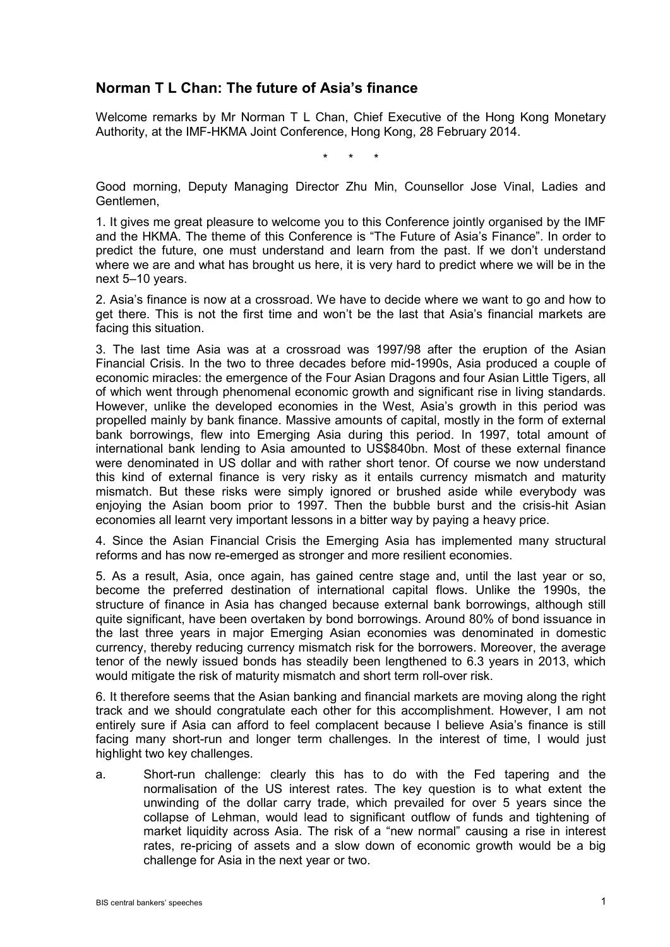## **Norman T L Chan: The future of Asia's finance**

Welcome remarks by Mr Norman T L Chan, Chief Executive of the Hong Kong Monetary Authority, at the IMF-HKMA Joint Conference, Hong Kong, 28 February 2014.

\* \* \*

Good morning, Deputy Managing Director Zhu Min, Counsellor Jose Vinal, Ladies and Gentlemen,

1. It gives me great pleasure to welcome you to this Conference jointly organised by the IMF and the HKMA. The theme of this Conference is "The Future of Asia's Finance". In order to predict the future, one must understand and learn from the past. If we don't understand where we are and what has brought us here, it is very hard to predict where we will be in the next 5–10 years.

2. Asia's finance is now at a crossroad. We have to decide where we want to go and how to get there. This is not the first time and won't be the last that Asia's financial markets are facing this situation.

3. The last time Asia was at a crossroad was 1997/98 after the eruption of the Asian Financial Crisis. In the two to three decades before mid-1990s, Asia produced a couple of economic miracles: the emergence of the Four Asian Dragons and four Asian Little Tigers, all of which went through phenomenal economic growth and significant rise in living standards. However, unlike the developed economies in the West, Asia's growth in this period was propelled mainly by bank finance. Massive amounts of capital, mostly in the form of external bank borrowings, flew into Emerging Asia during this period. In 1997, total amount of international bank lending to Asia amounted to US\$840bn. Most of these external finance were denominated in US dollar and with rather short tenor. Of course we now understand this kind of external finance is very risky as it entails currency mismatch and maturity mismatch. But these risks were simply ignored or brushed aside while everybody was enjoying the Asian boom prior to 1997. Then the bubble burst and the crisis-hit Asian economies all learnt very important lessons in a bitter way by paying a heavy price.

4. Since the Asian Financial Crisis the Emerging Asia has implemented many structural reforms and has now re-emerged as stronger and more resilient economies.

5. As a result, Asia, once again, has gained centre stage and, until the last year or so, become the preferred destination of international capital flows. Unlike the 1990s, the structure of finance in Asia has changed because external bank borrowings, although still quite significant, have been overtaken by bond borrowings. Around 80% of bond issuance in the last three years in major Emerging Asian economies was denominated in domestic currency, thereby reducing currency mismatch risk for the borrowers. Moreover, the average tenor of the newly issued bonds has steadily been lengthened to 6.3 years in 2013, which would mitigate the risk of maturity mismatch and short term roll-over risk.

6. It therefore seems that the Asian banking and financial markets are moving along the right track and we should congratulate each other for this accomplishment. However, I am not entirely sure if Asia can afford to feel complacent because I believe Asia's finance is still facing many short-run and longer term challenges. In the interest of time, I would just highlight two key challenges.

a. Short-run challenge: clearly this has to do with the Fed tapering and the normalisation of the US interest rates. The key question is to what extent the unwinding of the dollar carry trade, which prevailed for over 5 years since the collapse of Lehman, would lead to significant outflow of funds and tightening of market liquidity across Asia. The risk of a "new normal" causing a rise in interest rates, re-pricing of assets and a slow down of economic growth would be a big challenge for Asia in the next year or two.